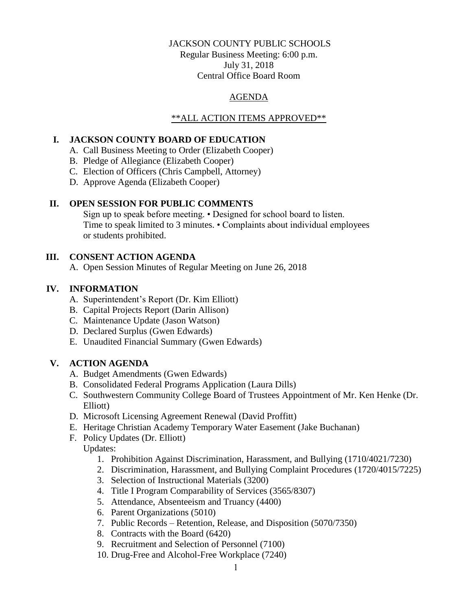## JACKSON COUNTY PUBLIC SCHOOLS

Regular Business Meeting: 6:00 p.m. July 31, 2018 Central Office Board Room

## AGENDA

## \*\*ALL ACTION ITEMS APPROVED\*\*

### **I. JACKSON COUNTY BOARD OF EDUCATION**

- A. Call Business Meeting to Order (Elizabeth Cooper)
- B. Pledge of Allegiance (Elizabeth Cooper)
- C. Election of Officers (Chris Campbell, Attorney)
- D. Approve Agenda (Elizabeth Cooper)

## **II. OPEN SESSION FOR PUBLIC COMMENTS**

Sign up to speak before meeting. • Designed for school board to listen. Time to speak limited to 3 minutes. • Complaints about individual employees or students prohibited.

## **III. CONSENT ACTION AGENDA**

A. Open Session Minutes of Regular Meeting on June 26, 2018

# **IV. INFORMATION**

- A. Superintendent's Report (Dr. Kim Elliott)
- B. Capital Projects Report (Darin Allison)
- C. Maintenance Update (Jason Watson)
- D. Declared Surplus (Gwen Edwards)
- E. Unaudited Financial Summary (Gwen Edwards)

# **V. ACTION AGENDA**

- A. Budget Amendments (Gwen Edwards)
- B. Consolidated Federal Programs Application (Laura Dills)
- C. Southwestern Community College Board of Trustees Appointment of Mr. Ken Henke (Dr. Elliott)
- D. Microsoft Licensing Agreement Renewal (David Proffitt)
- E. Heritage Christian Academy Temporary Water Easement (Jake Buchanan)
- F. Policy Updates (Dr. Elliott)
	- Updates:
		- 1. Prohibition Against Discrimination, Harassment, and Bullying (1710/4021/7230)
		- 2. Discrimination, Harassment, and Bullying Complaint Procedures (1720/4015/7225)
		- 3. Selection of Instructional Materials (3200)
		- 4. Title I Program Comparability of Services (3565/8307)
		- 5. Attendance, Absenteeism and Truancy (4400)
		- 6. Parent Organizations (5010)
		- 7. Public Records Retention, Release, and Disposition (5070/7350)
		- 8. Contracts with the Board (6420)
		- 9. Recruitment and Selection of Personnel (7100)
		- 10. Drug-Free and Alcohol-Free Workplace (7240)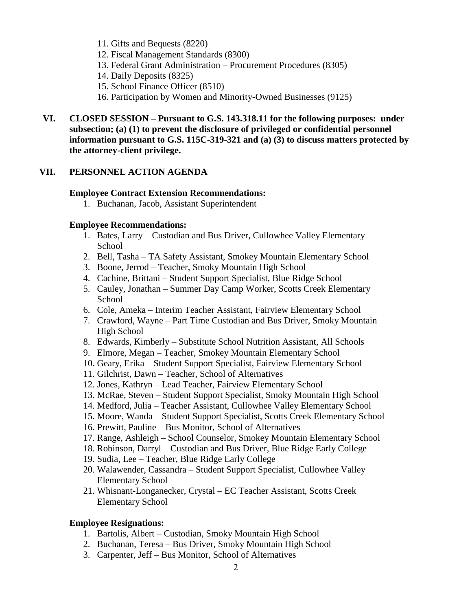- 11. Gifts and Bequests (8220)
- 12. Fiscal Management Standards (8300)
- 13. Federal Grant Administration Procurement Procedures (8305)
- 14. Daily Deposits (8325)
- 15. School Finance Officer (8510)
- 16. Participation by Women and Minority-Owned Businesses (9125)
- **VI. CLOSED SESSION – Pursuant to G.S. 143.318.11 for the following purposes: under subsection; (a) (1) to prevent the disclosure of privileged or confidential personnel information pursuant to G.S. 115C-319-321 and (a) (3) to discuss matters protected by the attorney-client privilege.**

### **VII. PERSONNEL ACTION AGENDA**

### **Employee Contract Extension Recommendations:**

1. Buchanan, Jacob, Assistant Superintendent

### **Employee Recommendations:**

- 1. Bates, Larry Custodian and Bus Driver, Cullowhee Valley Elementary School
- 2. Bell, Tasha TA Safety Assistant, Smokey Mountain Elementary School
- 3. Boone, Jerrod Teacher, Smoky Mountain High School
- 4. Cachine, Brittani Student Support Specialist, Blue Ridge School
- 5. Cauley, Jonathan Summer Day Camp Worker, Scotts Creek Elementary School
- 6. Cole, Ameka Interim Teacher Assistant, Fairview Elementary School
- 7. Crawford, Wayne Part Time Custodian and Bus Driver, Smoky Mountain High School
- 8. Edwards, Kimberly Substitute School Nutrition Assistant, All Schools
- 9. Elmore, Megan Teacher, Smokey Mountain Elementary School
- 10. Geary, Erika Student Support Specialist, Fairview Elementary School
- 11. Gilchrist, Dawn Teacher, School of Alternatives
- 12. Jones, Kathryn Lead Teacher, Fairview Elementary School
- 13. McRae, Steven Student Support Specialist, Smoky Mountain High School
- 14. Medford, Julia Teacher Assistant, Cullowhee Valley Elementary School
- 15. Moore, Wanda Student Support Specialist, Scotts Creek Elementary School
- 16. Prewitt, Pauline Bus Monitor, School of Alternatives
- 17. Range, Ashleigh School Counselor, Smokey Mountain Elementary School
- 18. Robinson, Darryl Custodian and Bus Driver, Blue Ridge Early College
- 19. Sudia, Lee Teacher, Blue Ridge Early College
- 20. Walawender, Cassandra Student Support Specialist, Cullowhee Valley Elementary School
- 21. Whisnant-Longanecker, Crystal EC Teacher Assistant, Scotts Creek Elementary School

### **Employee Resignations:**

- 1. Bartolis, Albert Custodian, Smoky Mountain High School
- 2. Buchanan, Teresa Bus Driver, Smoky Mountain High School
- 3. Carpenter, Jeff Bus Monitor, School of Alternatives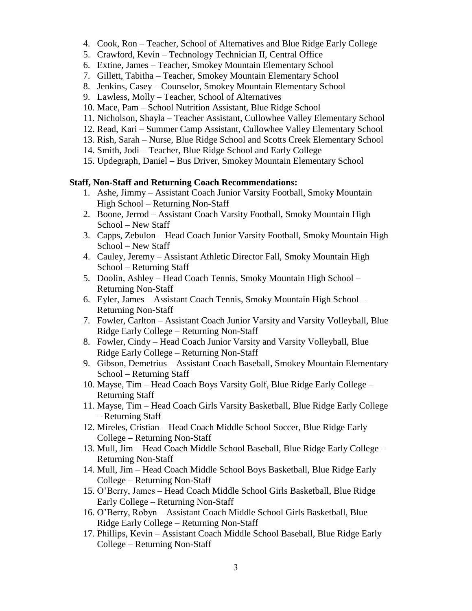- 4. Cook, Ron Teacher, School of Alternatives and Blue Ridge Early College
- 5. Crawford, Kevin Technology Technician II, Central Office
- 6. Extine, James Teacher, Smokey Mountain Elementary School
- 7. Gillett, Tabitha Teacher, Smokey Mountain Elementary School
- 8. Jenkins, Casey Counselor, Smokey Mountain Elementary School
- 9. Lawless, Molly Teacher, School of Alternatives
- 10. Mace, Pam School Nutrition Assistant, Blue Ridge School
- 11. Nicholson, Shayla Teacher Assistant, Cullowhee Valley Elementary School
- 12. Read, Kari Summer Camp Assistant, Cullowhee Valley Elementary School
- 13. Rish, Sarah Nurse, Blue Ridge School and Scotts Creek Elementary School
- 14. Smith, Jodi Teacher, Blue Ridge School and Early College
- 15. Updegraph, Daniel Bus Driver, Smokey Mountain Elementary School

### **Staff, Non-Staff and Returning Coach Recommendations:**

- 1. Ashe, Jimmy Assistant Coach Junior Varsity Football, Smoky Mountain High School – Returning Non-Staff
- 2. Boone, Jerrod Assistant Coach Varsity Football, Smoky Mountain High School – New Staff
- 3. Capps, Zebulon Head Coach Junior Varsity Football, Smoky Mountain High School – New Staff
- 4. Cauley, Jeremy Assistant Athletic Director Fall, Smoky Mountain High School – Returning Staff
- 5. Doolin, Ashley Head Coach Tennis, Smoky Mountain High School Returning Non-Staff
- 6. Eyler, James Assistant Coach Tennis, Smoky Mountain High School Returning Non-Staff
- 7. Fowler, Carlton Assistant Coach Junior Varsity and Varsity Volleyball, Blue Ridge Early College – Returning Non-Staff
- 8. Fowler, Cindy Head Coach Junior Varsity and Varsity Volleyball, Blue Ridge Early College – Returning Non-Staff
- 9. Gibson, Demetrius Assistant Coach Baseball, Smokey Mountain Elementary School – Returning Staff
- 10. Mayse, Tim Head Coach Boys Varsity Golf, Blue Ridge Early College Returning Staff
- 11. Mayse, Tim Head Coach Girls Varsity Basketball, Blue Ridge Early College – Returning Staff
- 12. Mireles, Cristian Head Coach Middle School Soccer, Blue Ridge Early College – Returning Non-Staff
- 13. Mull, Jim Head Coach Middle School Baseball, Blue Ridge Early College Returning Non-Staff
- 14. Mull, Jim Head Coach Middle School Boys Basketball, Blue Ridge Early College – Returning Non-Staff
- 15. O'Berry, James Head Coach Middle School Girls Basketball, Blue Ridge Early College – Returning Non-Staff
- 16. O'Berry, Robyn Assistant Coach Middle School Girls Basketball, Blue Ridge Early College – Returning Non-Staff
- 17. Phillips, Kevin Assistant Coach Middle School Baseball, Blue Ridge Early College – Returning Non-Staff